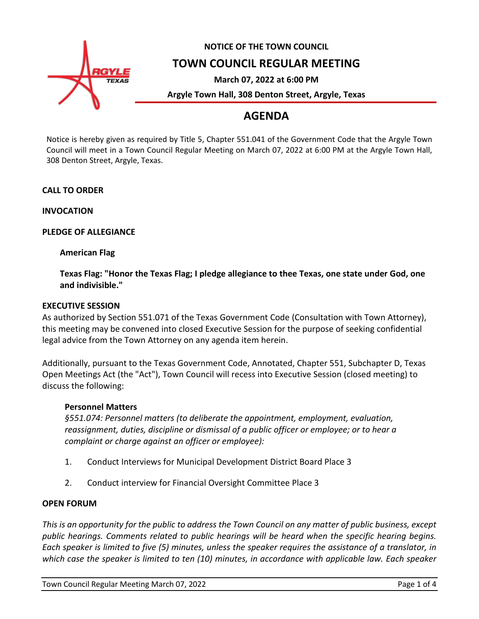

# **NOTICE OF THE TOWN COUNCIL**

## **TOWN COUNCIL REGULAR MEETING**

**March 07, 2022 at 6:00 PM**

**Argyle Town Hall, 308 Denton Street, Argyle, Texas**

## **AGENDA**

Notice is hereby given as required by Title 5, Chapter 551.041 of the Government Code that the Argyle Town Council will meet in a Town Council Regular Meeting on March 07, 2022 at 6:00 PM at the Argyle Town Hall, 308 Denton Street, Argyle, Texas.

## **CALL TO ORDER**

**INVOCATION**

## **PLEDGE OF ALLEGIANCE**

## **American Flag**

**Texas Flag: "Honor the Texas Flag; I pledge allegiance to thee Texas, one state under God, one and indivisible."**

## **EXECUTIVE SESSION**

As authorized by Section 551.071 of the Texas Government Code (Consultation with Town Attorney), this meeting may be convened into closed Executive Session for the purpose of seeking confidential legal advice from the Town Attorney on any agenda item herein.

Additionally, pursuant to the Texas Government Code, Annotated, Chapter 551, Subchapter D, Texas Open Meetings Act (the "Act"), Town Council will recess into Executive Session (closed meeting) to discuss the following:

## **Personnel Matters**

*§551.074: Personnel matters (to deliberate the appointment, employment, evaluation, reassignment, duties, discipline or dismissal of a public officer or employee; or to hear a complaint or charge against an officer or employee):*

- 1. Conduct Interviews for Municipal Development District Board Place 3
- 2. Conduct interview for Financial Oversight Committee Place 3

## **OPEN FORUM**

*This is an opportunity for the public to address the Town Council on any matter of public business, except public hearings. Comments related to public hearings will be heard when the specific hearing begins. Each speaker is limited to five (5) minutes, unless the speaker requires the assistance of a translator, in which case the speaker is limited to ten (10) minutes, in accordance with applicable law. Each speaker*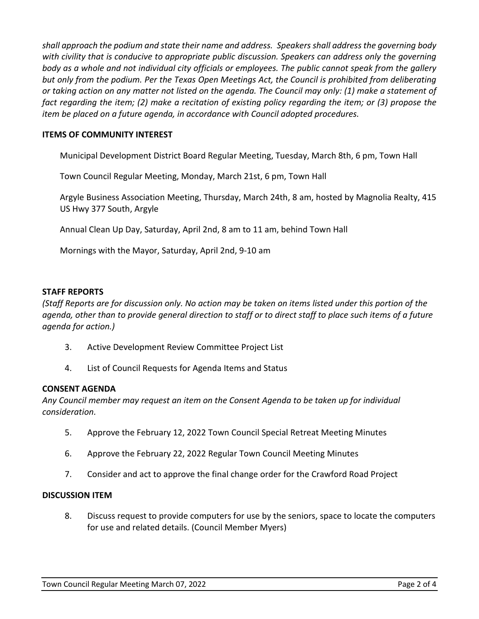*shall approach the podium and state their name and address. Speakers shall address the governing body with civility that is conducive to appropriate public discussion. Speakers can address only the governing body as a whole and not individual city officials or employees. The public cannot speak from the gallery but only from the podium. Per the Texas Open Meetings Act, the Council is prohibited from deliberating or taking action on any matter not listed on the agenda. The Council may only: (1) make a statement of fact regarding the item; (2) make a recitation of existing policy regarding the item; or (3) propose the item be placed on a future agenda, in accordance with Council adopted procedures.*

## **ITEMS OF COMMUNITY INTEREST**

Municipal Development District Board Regular Meeting, Tuesday, March 8th, 6 pm, Town Hall

Town Council Regular Meeting, Monday, March 21st, 6 pm, Town Hall

Argyle Business Association Meeting, Thursday, March 24th, 8 am, hosted by Magnolia Realty, 415 US Hwy 377 South, Argyle

Annual Clean Up Day, Saturday, April 2nd, 8 am to 11 am, behind Town Hall

Mornings with the Mayor, Saturday, April 2nd, 9-10 am

#### **STAFF REPORTS**

*(Staff Reports are for discussion only. No action may be taken on items listed under this portion of the agenda, other than to provide general direction to staff or to direct staff to place such items of a future agenda for action.)*

- 3. Active Development Review Committee Project List
- 4. List of Council Requests for Agenda Items and Status

#### **CONSENT AGENDA**

*Any Council member may request an item on the Consent Agenda to be taken up for individual consideration.*

- 5. Approve the February 12, 2022 Town Council Special Retreat Meeting Minutes
- 6. Approve the February 22, 2022 Regular Town Council Meeting Minutes
- 7. Consider and act to approve the final change order for the Crawford Road Project

#### **DISCUSSION ITEM**

8. Discuss request to provide computers for use by the seniors, space to locate the computers for use and related details. (Council Member Myers)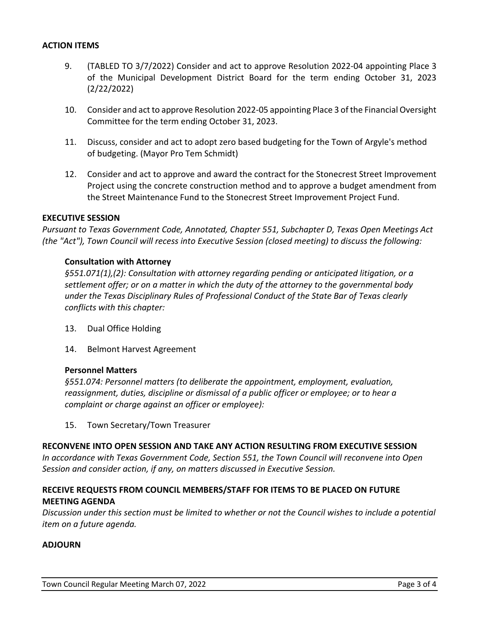#### **ACTION ITEMS**

- 9. (TABLED TO 3/7/2022) Consider and act to approve Resolution 2022-04 appointing Place 3 of the Municipal Development District Board for the term ending October 31, 2023 (2/22/2022)
- 10. Consider and act to approve Resolution 2022-05 appointing Place 3 of the Financial Oversight Committee for the term ending October 31, 2023.
- 11. Discuss, consider and act to adopt zero based budgeting for the Town of Argyle's method of budgeting. (Mayor Pro Tem Schmidt)
- 12. Consider and act to approve and award the contract for the Stonecrest Street Improvement Project using the concrete construction method and to approve a budget amendment from the Street Maintenance Fund to the Stonecrest Street Improvement Project Fund.

#### **EXECUTIVE SESSION**

*Pursuant to Texas Government Code, Annotated, Chapter 551, Subchapter D, Texas Open Meetings Act (the "Act"), Town Council will recess into Executive Session (closed meeting) to discuss the following:*

#### **Consultation with Attorney**

*§551.071(1),(2): Consultation with attorney regarding pending or anticipated litigation, or a settlement offer; or on a matter in which the duty of the attorney to the governmental body under the Texas Disciplinary Rules of Professional Conduct of the State Bar of Texas clearly conflicts with this chapter:*

- 13. Dual Office Holding
- 14. Belmont Harvest Agreement

#### **Personnel Matters**

*§551.074: Personnel matters (to deliberate the appointment, employment, evaluation, reassignment, duties, discipline or dismissal of a public officer or employee; or to hear a complaint or charge against an officer or employee):*

15. Town Secretary/Town Treasurer

#### **RECONVENE INTO OPEN SESSION AND TAKE ANY ACTION RESULTING FROM EXECUTIVE SESSION**

*In accordance with Texas Government Code, Section 551, the Town Council will reconvene into Open Session and consider action, if any, on matters discussed in Executive Session.*

## **RECEIVE REQUESTS FROM COUNCIL MEMBERS/STAFF FOR ITEMS TO BE PLACED ON FUTURE MEETING AGENDA**

*Discussion under this section must be limited to whether or not the Council wishes to include a potential item on a future agenda.*

#### **ADJOURN**